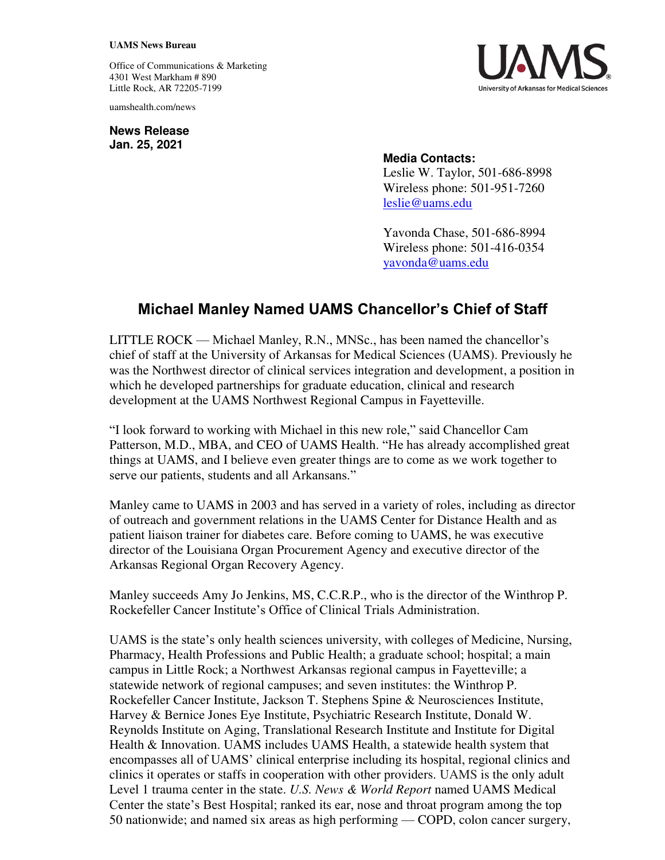## **UAMS News Bureau**

Office of Communications & Marketing 4301 West Markham # 890 Little Rock, AR 72205-7199

uamshealth.com/news

**News Release Jan. 25, 2021**



## **Media Contacts:**

Leslie W. Taylor, 501-686-8998 Wireless phone: 501-951-7260 [leslie@uams.edu](mailto:leslie@uams.edu)

Yavonda Chase, 501-686-8994 Wireless phone: 501-416-0354 [yavonda@uams.edu](mailto:yavonda@uams.edu) 

## **Michael Manley Named UAMS Chancellor's Chief of Staff**

LITTLE ROCK — Michael Manley, R.N., MNSc., has been named the chancellor's chief of staff at the University of Arkansas for Medical Sciences (UAMS). Previously he was the Northwest director of clinical services integration and development, a position in which he developed partnerships for graduate education, clinical and research development at the UAMS Northwest Regional Campus in Fayetteville.

"I look forward to working with Michael in this new role," said Chancellor Cam Patterson, M.D., MBA, and CEO of UAMS Health. "He has already accomplished great things at UAMS, and I believe even greater things are to come as we work together to serve our patients, students and all Arkansans."

Manley came to UAMS in 2003 and has served in a variety of roles, including as director of outreach and government relations in the UAMS Center for Distance Health and as patient liaison trainer for diabetes care. Before coming to UAMS, he was executive director of the Louisiana Organ Procurement Agency and executive director of the Arkansas Regional Organ Recovery Agency.

Manley succeeds Amy Jo Jenkins, MS, C.C.R.P., who is the director of the Winthrop P. Rockefeller Cancer Institute's Office of Clinical Trials Administration.

UAMS is the state's only health sciences university, with colleges of Medicine, Nursing, Pharmacy, Health Professions and Public Health; a graduate school; hospital; a main campus in Little Rock; a Northwest Arkansas regional campus in Fayetteville; a statewide network of regional campuses; and seven institutes: the Winthrop P. Rockefeller Cancer Institute, Jackson T. Stephens Spine & Neurosciences Institute, Harvey & Bernice Jones Eye Institute, Psychiatric Research Institute, Donald W. Reynolds Institute on Aging, Translational Research Institute and Institute for Digital Health & Innovation. UAMS includes UAMS Health, a statewide health system that encompasses all of UAMS' clinical enterprise including its hospital, regional clinics and clinics it operates or staffs in cooperation with other providers. UAMS is the only adult Level 1 trauma center in the state. *U.S. News & World Report* named UAMS Medical Center the state's Best Hospital; ranked its ear, nose and throat program among the top 50 nationwide; and named six areas as high performing — COPD, colon cancer surgery,